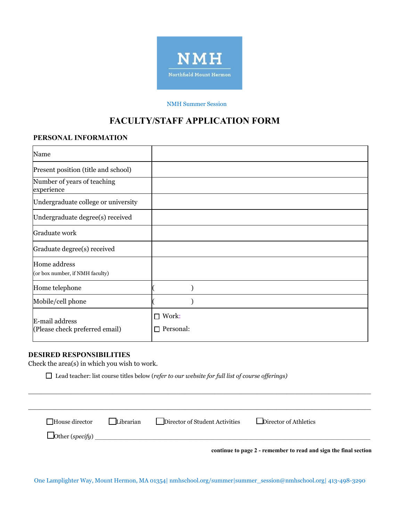

### NMH Summer Session

# **FACULTY/STAFF APPLICATION FORM**

### **PERSONAL INFORMATION**

| Name                                             |                                |
|--------------------------------------------------|--------------------------------|
| Present position (title and school)              |                                |
| Number of years of teaching<br>experience        |                                |
| Undergraduate college or university              |                                |
| Undergraduate degree(s) received                 |                                |
| Graduate work                                    |                                |
| Graduate degree(s) received                      |                                |
| Home address<br>(or box number, if NMH faculty)  |                                |
| Home telephone                                   |                                |
| Mobile/cell phone                                |                                |
| E-mail address<br>(Please check preferred email) | $\Box$ Work:<br>Personal:<br>П |

## **DESIRED RESPONSIBILITIES**

Check the area(s) in which you wish to work.

Lead teacher: list course titles below ( *refer to our website for full list of course offerings)* 

| $\Box$ House director  | Librarian | Director of Student Activities | Director of Athletics |
|------------------------|-----------|--------------------------------|-----------------------|
| $\Box$ Other (specify) |           |                                |                       |

\_\_\_\_\_\_\_\_\_\_\_\_\_\_\_\_\_\_\_\_\_\_\_\_\_\_\_\_\_\_\_\_\_\_\_\_\_\_\_\_\_\_\_\_\_\_\_\_\_\_\_\_\_\_\_\_\_\_\_\_\_\_\_\_\_\_\_\_\_\_\_\_\_\_\_\_\_\_\_\_\_

One Lamplighter Way, Mount Hermon, MA 01354| nmhschool.org/summer|summer\_session@nmhschool.org| 413-498-3290